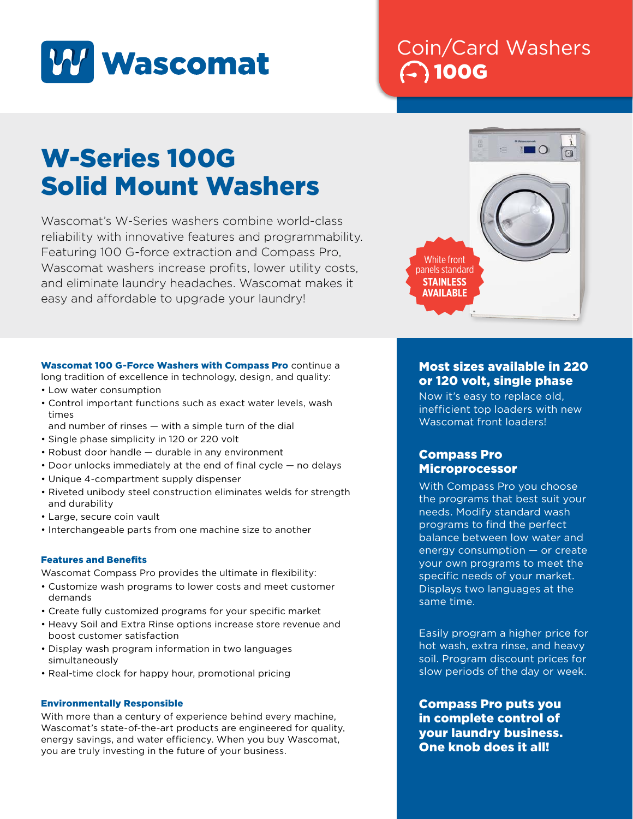

## Coin/Card Washers 100G

# W-Series 100G Solid Mount Washers

Wascomat's W-Series washers combine world-class reliability with innovative features and programmability. Featuring 100 G-force extraction and Compass Pro, Wascomat washers increase profits, lower utility costs, and eliminate laundry headaches. Wascomat makes it easy and affordable to upgrade your laundry!



Wascomat 100 G-Force Washers with Compass Pro continue a long tradition of excellence in technology, design, and quality: • Low water consumption

- Control important functions such as exact water levels, wash times
- and number of rinses with a simple turn of the dial
- Single phase simplicity in 120 or 220 volt
- Robust door handle durable in any environment
- Door unlocks immediately at the end of final cycle no delays
- Unique 4-compartment supply dispenser
- Riveted unibody steel construction eliminates welds for strength and durability
- Large, secure coin vault
- Interchangeable parts from one machine size to another

#### Features and Benefits

Wascomat Compass Pro provides the ultimate in flexibility:

- Customize wash programs to lower costs and meet customer demands
- Create fully customized programs for your specific market
- Heavy Soil and Extra Rinse options increase store revenue and boost customer satisfaction
- Display wash program information in two languages simultaneously
- Real-time clock for happy hour, promotional pricing

#### Environmentally Responsible

With more than a century of experience behind every machine, Wascomat's state-of-the-art products are engineered for quality, energy savings, and water efficiency. When you buy Wascomat, you are truly investing in the future of your business.

### Most sizes available in 220 or 120 volt, single phase

Now it's easy to replace old, inefficient top loaders with new Wascomat front loaders!

#### Compass Pro Microprocessor

With Compass Pro you choose the programs that best suit your needs. Modify standard wash programs to find the perfect balance between low water and energy consumption — or create your own programs to meet the specific needs of your market. Displays two languages at the same time.

Easily program a higher price for hot wash, extra rinse, and heavy soil. Program discount prices for slow periods of the day or week.

Compass Pro puts you in complete control of your laundry business. One knob does it all!